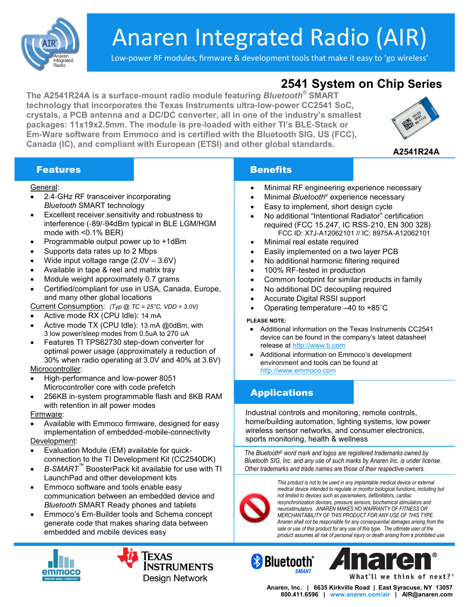

# Anaren Integrated Radio (AIR)

Low-power RF modules, firmware & development tools that make it easy to 'go wireless'

## **2541 System on Chip Series**

**The A2541R24A is a surface-mount radio module featuring** *Bluetooth®* **SMART technology that incorporates the Texas Instruments ultra-low-power CC2541 SoC, crystals, a PCB antenna and a DC/DC converter, all in one of the industry's smallest packages: 11x19x2.5mm. The module is pre-loaded with either TI's BLE-Stack or Em-Ware software from Emmoco and is certified with the Bluetooth SIG, US (FCC), Canada (IC), and compliant with European (ETSI) and other global standards.** 



**A2541R24A**

### **Features Community Community Benefits**

#### General:

- 2.4-GHz RF transceiver incorporating *Bluetooth* SMART technology
- Excellent receiver sensitivity and robustness to interference (-89/-94dBm typical in BLE LGM/HGM mode with <0.1% BER)
- Programmable output power up to +1dBm
- Supports data rates up to 2 Mbps
- Wide input voltage range (2.0V 3.6V)
- Available in tape & reel and matrix tray
- Module weight approximately 0.7 grams
- Certified/compliant for use in USA, Canada, Europe, and many other global locations

Current Consumption: *(Typ @ TC = 25°C, VDD = 3.0V)*

- Active mode RX (CPU Idle): 14 mA
- Active mode TX (CPU Idle): 13 mA @0dBm, with 3 low power/sleep modes from 0.5uA to 270 uA
- Features TI TPS62730 step-down converter for optimal power usage (approximately a reduction of 30% when radio operating at 3.0V and 40% at 3.6V) Microcontroller:

High-performance and low-power 8051

- Microcontroller core with code prefetch
- 256KB in-system programmable flash and 8KB RAM with retention in all power modes

#### Firmware:

- Available with Emmoco firmware, designed for easy implementation of embedded-mobile-connectivity Development:
- Evaluation Module (EM) available for quickconnection to the TI Development Kit (CC2540DK)
- *B-SMART™* BoosterPack kit available for use with TI LaunchPad and other development kits
- Emmoco software and tools enable easy communication between an embedded device and *Bluetooth* SMART Ready phones and tablets
- Emmoco's Em-Builder tools and Schema concept generate code that makes sharing data between embedded and mobile devices easy



- Minimal RF engineering experience necessary
- Minimal *Bluetooth*® experience necessary
- Easy to implement, short design cycle
- No additional "Intentional Radiator" certification required (FCC 15.247, IC RSS-210, EN 300 328) FCC ID: X7J-A12062101 // IC: 8975A-A12062101
- Minimal real estate required
- Easily implemented on a two layer PCB
- No additional harmonic filtering required
- 100% RF-tested in production
- Common footprint for similar products in family
- No additional DC decoupling required
- Accurate Digital RSSI support
- Operating temperature –40 to +85˚C

#### **PLEASE NOTE:**

- Additional information on the Texas Instruments CC2541 device can be found in the company's latest datasheet release at [http://www.ti.com](http://www.ti.com/)
- Additional information on Emmoco's development environment and tools can be found at <http://www.emmoco.com>

#### Applications

Industrial controls and monitoring, remote controls, home/building automation, lighting systems, low power wireless sensor networks, and consumer electronics, sports monitoring, health & wellness

*The Bluetooth® word mark and logos are registered trademarks owned by Bluetooth SIG, Inc. and any use of such marks by Anaren Inc. is under license. Other trademarks and trade names are those of their respective owners.*



*This product is not to be used in any implantable medical device or external medical device intended to regulate or monitor biological functions, including but not limited to devices such as pacemakers, defibrillators, cardiac resynchronization devices, pressure sensors, biochemical stimulators and neurostimulators. ANAREN MAKES NO WARRANTY OF FITNESS OR MERCHANTABILITY OF THIS PRODUCT FOR ANY USE OF THIS TYPE. Anaren shall not be responsible for any consequential damages arising from the sale or use of this product for any use of this type. The ultimate user of the product assumes all risk of personal injury or death arising from a prohibited use.*





**Anaren, Inc. | 6635 Kirkville Road | East Syracuse, NY 13057 800.411.6596 | [www.anaren.com/a](http://www.anaren.com/)ir | AIR@anaren.com**